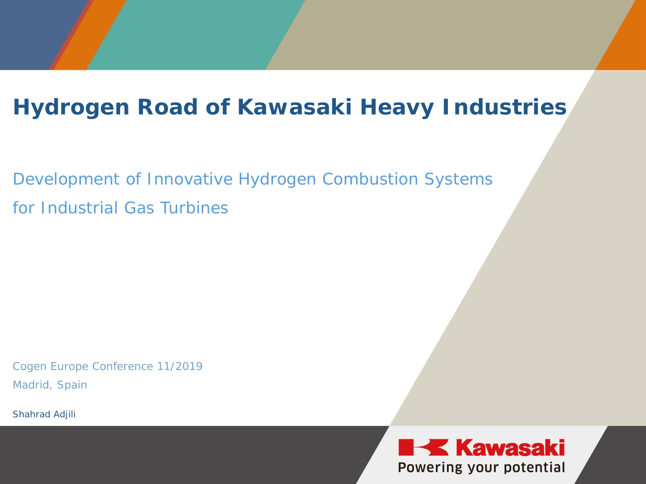### **Hydrogen Road of Kawasaki Heavy Industries**

Development of Innovative Hydrogen Combustion Systems for Industrial Gas Turbines

Cogen Europe Conference 11/2019 Madrid, Spain

Shahrad Adjili

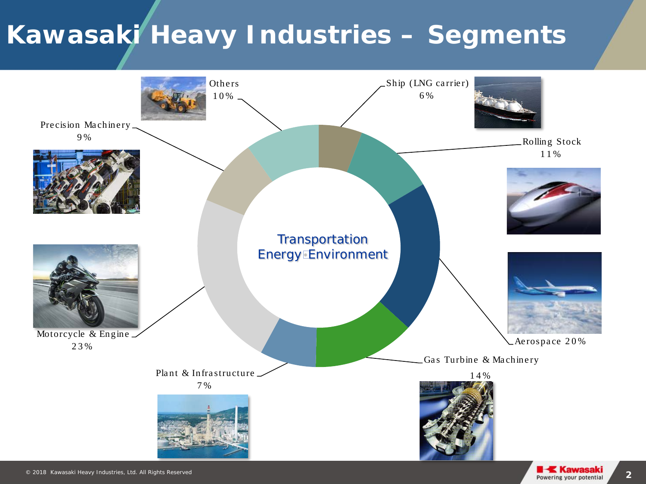### **Kawasaki Heavy Industries – Segments**

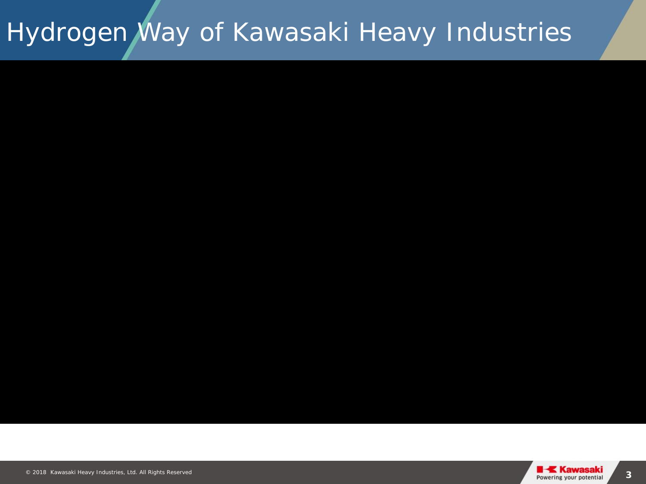# Hydrogen Way of Kawasaki Heavy Industries

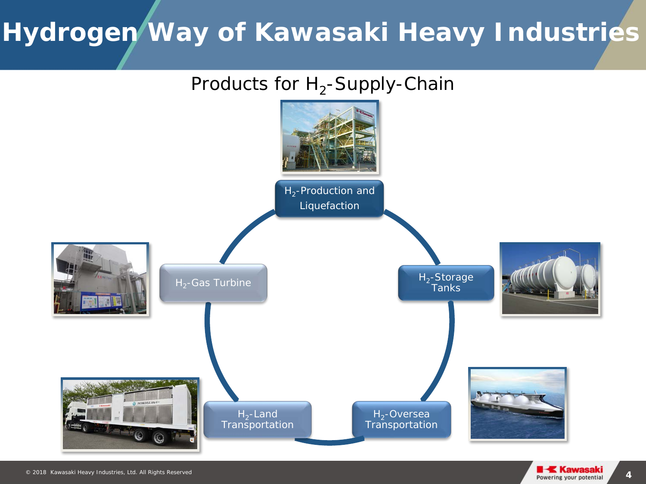### **Hydrogen Way of Kawasaki Heavy Industries**

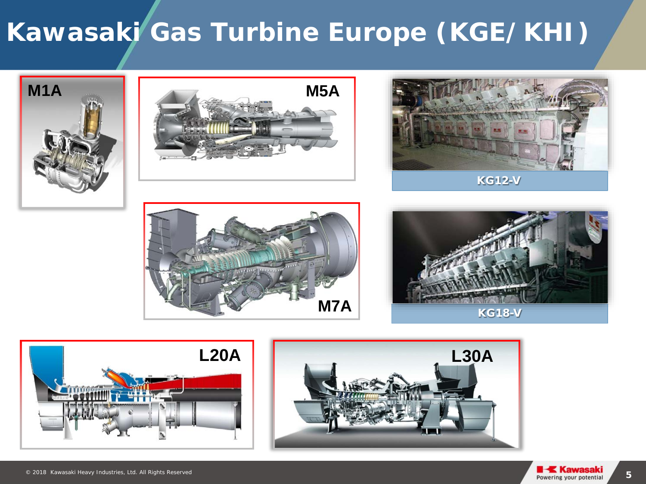### **Kawasaki Gas Turbine Europe (KGE/KHI)**















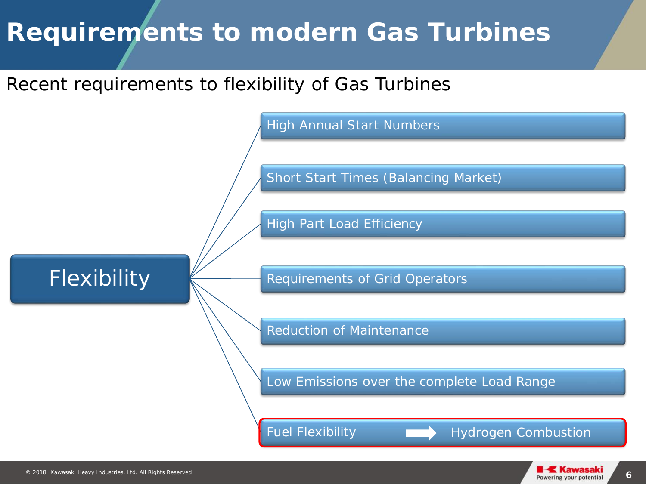### **Requirements to modern Gas Turbines**

#### Recent requirements to flexibility of Gas Turbines

High Annual Start Numbers

Short Start Times (Balancing Market)

High Part Load Efficiency

#### Flexibility

Requirements of Grid Operators

Reduction of Maintenance

Low Emissions over the complete Load Range

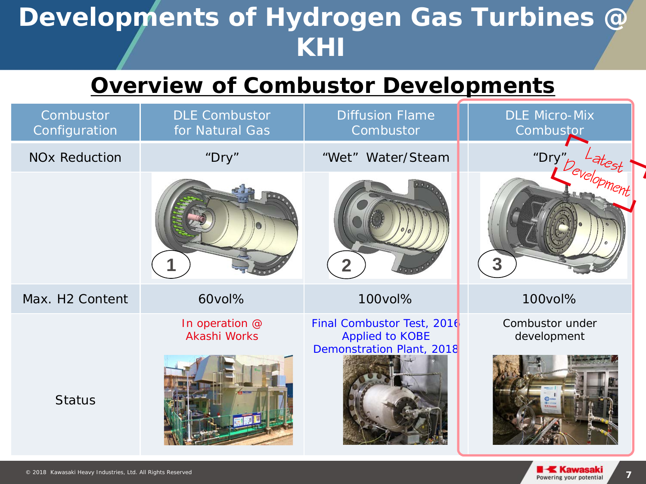### **Developments of Hydrogen Gas Turbines @ KHI**

### **Overview of Combustor Developments**

| Combustor<br>Configuration      | <b>DLE Combustor</b><br>for Natural Gas | <b>Diffusion Flame</b><br>Combustor                  | <b>DLE Micro-Mix</b><br>Combustor |
|---------------------------------|-----------------------------------------|------------------------------------------------------|-----------------------------------|
| <b>NO<sub>x</sub></b> Reduction | "Dry"                                   | "Wet" Water/Steam                                    |                                   |
|                                 |                                         | $\overline{2}$                                       | "Dry" bevelopment<br>3            |
| Max. H <sub>2</sub> Content     | 60vol%                                  | 100vol%                                              | 100vol%                           |
|                                 | In operation @<br>Akashi Works          | Final Combustor Test, 2016<br><b>Applied to KOBE</b> | Combustor under<br>development    |
| <b>Status</b>                   |                                         | Demonstration Plant, 2018                            |                                   |

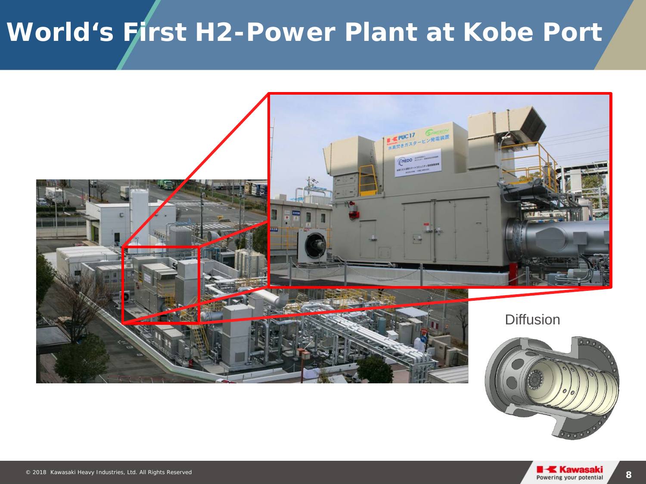# **World's First H2-Power Plant at Kobe Port**



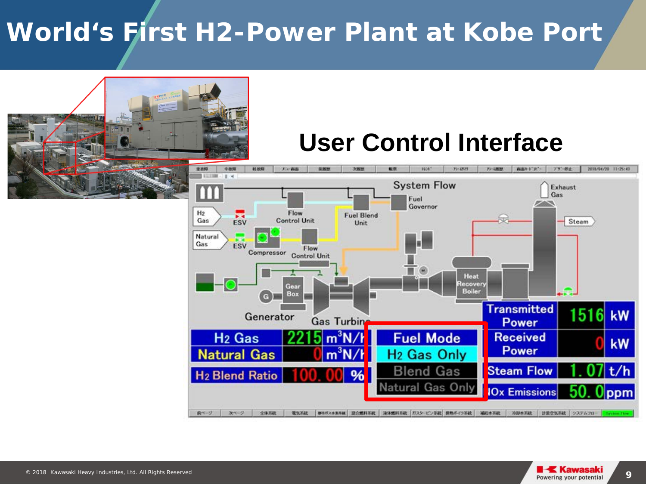### **World's First H2-Power Plant at Kobe Port**



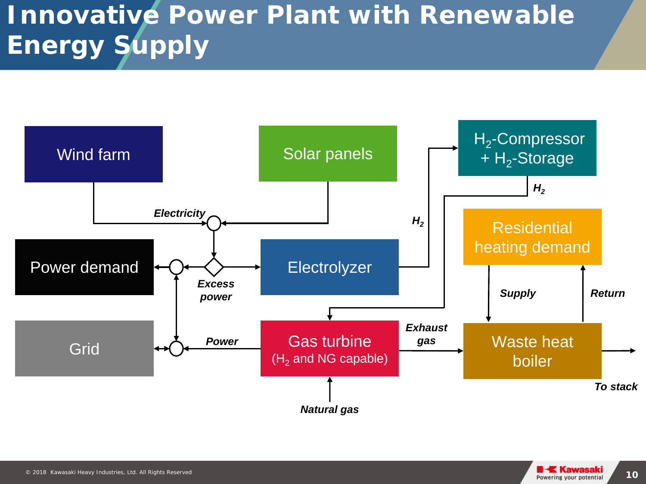# **Innovative Power Plant with Renewable Energy Supply**